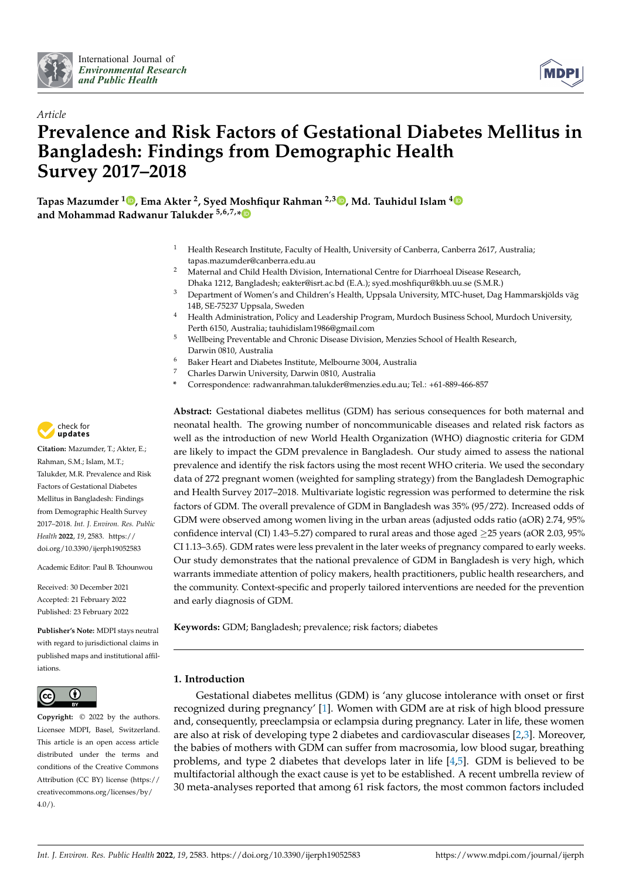



# *Article* **Prevalence and Risk Factors of Gestational Diabetes Mellitus in Bangladesh: Findings from Demographic Health Survey 2017–2018**

**Tapas Mazumder <sup>1</sup> [,](https://orcid.org/0000-0003-0229-4682) Ema Akter <sup>2</sup> , Syed Moshfiqur Rahman 2,3 [,](https://orcid.org/0000-0002-9441-0590) Md. Tauhidul Islam [4](https://orcid.org/0000-0002-0738-820X) and Mohammad Radwanur Talukder 5,6,7,[\\*](https://orcid.org/0000-0002-8343-9777)**

- <sup>1</sup> Health Research Institute, Faculty of Health, University of Canberra, Canberra 2617, Australia; tapas.mazumder@canberra.edu.au
- <sup>2</sup> Maternal and Child Health Division, International Centre for Diarrhoeal Disease Research, Dhaka 1212, Bangladesh; eakter@isrt.ac.bd (E.A.); syed.moshfiqur@kbh.uu.se (S.M.R.)
- <sup>3</sup> Department of Women's and Children's Health, Uppsala University, MTC-huset, Dag Hammarskjölds väg 14B, SE-75237 Uppsala, Sweden
- <sup>4</sup> Health Administration, Policy and Leadership Program, Murdoch Business School, Murdoch University, Perth 6150, Australia; tauhidislam1986@gmail.com
- <sup>5</sup> Wellbeing Preventable and Chronic Disease Division, Menzies School of Health Research, Darwin 0810, Australia
- <sup>6</sup> Baker Heart and Diabetes Institute, Melbourne 3004, Australia<br><sup>7</sup> Charles Demain University Demain 0010, Australia
- <sup>7</sup> Charles Darwin University, Darwin 0810, Australia
- **\*** Correspondence: radwanrahman.talukder@menzies.edu.au; Tel.: +61-889-466-857

**Abstract:** Gestational diabetes mellitus (GDM) has serious consequences for both maternal and neonatal health. The growing number of noncommunicable diseases and related risk factors as well as the introduction of new World Health Organization (WHO) diagnostic criteria for GDM are likely to impact the GDM prevalence in Bangladesh. Our study aimed to assess the national prevalence and identify the risk factors using the most recent WHO criteria. We used the secondary data of 272 pregnant women (weighted for sampling strategy) from the Bangladesh Demographic and Health Survey 2017–2018. Multivariate logistic regression was performed to determine the risk factors of GDM. The overall prevalence of GDM in Bangladesh was 35% (95/272). Increased odds of GDM were observed among women living in the urban areas (adjusted odds ratio (aOR) 2.74, 95% confidence interval (CI) 1.43–5.27) compared to rural areas and those aged ≥25 years (aOR 2.03, 95% CI 1.13–3.65). GDM rates were less prevalent in the later weeks of pregnancy compared to early weeks. Our study demonstrates that the national prevalence of GDM in Bangladesh is very high, which warrants immediate attention of policy makers, health practitioners, public health researchers, and the community. Context-specific and properly tailored interventions are needed for the prevention and early diagnosis of GDM.

**Keywords:** GDM; Bangladesh; prevalence; risk factors; diabetes

# **1. Introduction**

Gestational diabetes mellitus (GDM) is 'any glucose intolerance with onset or first recognized during pregnancy' [\[1\]](#page-8-0). Women with GDM are at risk of high blood pressure and, consequently, preeclampsia or eclampsia during pregnancy. Later in life, these women are also at risk of developing type 2 diabetes and cardiovascular diseases [\[2,](#page-8-1)[3\]](#page-8-2). Moreover, the babies of mothers with GDM can suffer from macrosomia, low blood sugar, breathing problems, and type 2 diabetes that develops later in life [\[4,](#page-8-3)[5\]](#page-8-4). GDM is believed to be multifactorial although the exact cause is yet to be established. A recent umbrella review of 30 meta-analyses reported that among 61 risk factors, the most common factors included



**Citation:** Mazumder, T.; Akter, E.; Rahman, S.M.; Islam, M.T.; Talukder, M.R. Prevalence and Risk Factors of Gestational Diabetes Mellitus in Bangladesh: Findings from Demographic Health Survey 2017–2018. *Int. J. Environ. Res. Public Health* **2022**, *19*, 2583. [https://](https://doi.org/10.3390/ijerph19052583) [doi.org/10.3390/ijerph19052583](https://doi.org/10.3390/ijerph19052583)

Academic Editor: Paul B. Tchounwou

Received: 30 December 2021 Accepted: 21 February 2022 Published: 23 February 2022

**Publisher's Note:** MDPI stays neutral with regard to jurisdictional claims in published maps and institutional affiliations.



**Copyright:** © 2022 by the authors. Licensee MDPI, Basel, Switzerland. This article is an open access article distributed under the terms and conditions of the Creative Commons Attribution (CC BY) license [\(https://](https://creativecommons.org/licenses/by/4.0/) [creativecommons.org/licenses/by/](https://creativecommons.org/licenses/by/4.0/)  $4.0/$ ).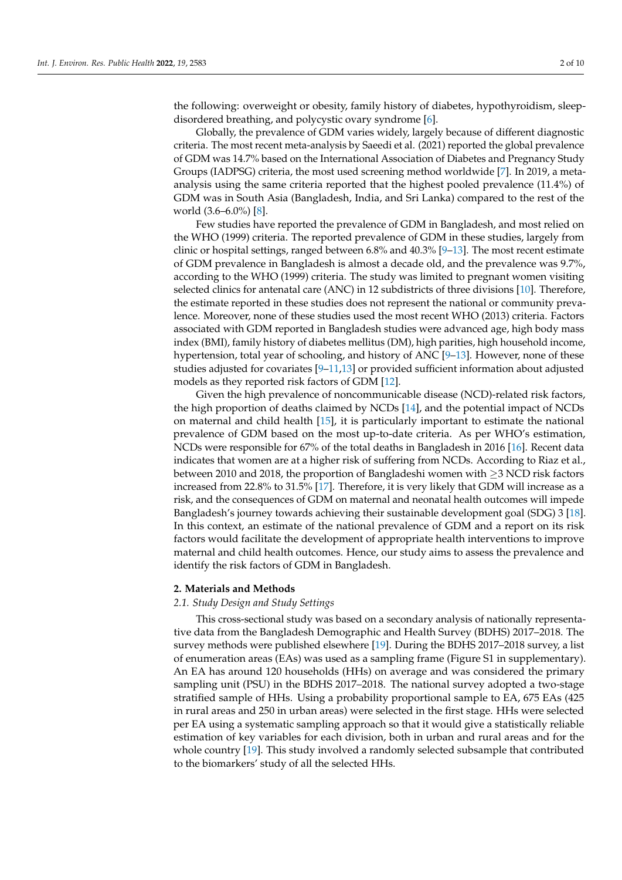the following: overweight or obesity, family history of diabetes, hypothyroidism, sleepdisordered breathing, and polycystic ovary syndrome [\[6\]](#page-8-5).

Globally, the prevalence of GDM varies widely, largely because of different diagnostic criteria. The most recent meta-analysis by Saeedi et al. (2021) reported the global prevalence of GDM was 14.7% based on the International Association of Diabetes and Pregnancy Study Groups (IADPSG) criteria, the most used screening method worldwide [\[7\]](#page-8-6). In 2019, a metaanalysis using the same criteria reported that the highest pooled prevalence (11.4%) of GDM was in South Asia (Bangladesh, India, and Sri Lanka) compared to the rest of the world (3.6–6.0%) [\[8\]](#page-8-7).

Few studies have reported the prevalence of GDM in Bangladesh, and most relied on the WHO (1999) criteria. The reported prevalence of GDM in these studies, largely from clinic or hospital settings, ranged between 6.8% and 40.3% [\[9](#page-8-8)[–13\]](#page-8-9). The most recent estimate of GDM prevalence in Bangladesh is almost a decade old, and the prevalence was 9.7%, according to the WHO (1999) criteria. The study was limited to pregnant women visiting selected clinics for antenatal care (ANC) in 12 subdistricts of three divisions [\[10\]](#page-8-10). Therefore, the estimate reported in these studies does not represent the national or community prevalence. Moreover, none of these studies used the most recent WHO (2013) criteria. Factors associated with GDM reported in Bangladesh studies were advanced age, high body mass index (BMI), family history of diabetes mellitus (DM), high parities, high household income, hypertension, total year of schooling, and history of ANC [\[9](#page-8-8)[–13\]](#page-8-9). However, none of these studies adjusted for covariates [\[9–](#page-8-8)[11,](#page-8-11)[13\]](#page-8-9) or provided sufficient information about adjusted models as they reported risk factors of GDM [\[12\]](#page-8-12).

Given the high prevalence of noncommunicable disease (NCD)-related risk factors, the high proportion of deaths claimed by NCDs [\[14\]](#page-8-13), and the potential impact of NCDs on maternal and child health [\[15\]](#page-8-14), it is particularly important to estimate the national prevalence of GDM based on the most up-to-date criteria. As per WHO's estimation, NCDs were responsible for 67% of the total deaths in Bangladesh in 2016 [\[16\]](#page-8-15). Recent data indicates that women are at a higher risk of suffering from NCDs. According to Riaz et al., between 2010 and 2018, the proportion of Bangladeshi women with ≥3 NCD risk factors increased from 22.8% to 31.5% [\[17\]](#page-9-0). Therefore, it is very likely that GDM will increase as a risk, and the consequences of GDM on maternal and neonatal health outcomes will impede Bangladesh's journey towards achieving their sustainable development goal (SDG) 3 [\[18\]](#page-9-1). In this context, an estimate of the national prevalence of GDM and a report on its risk factors would facilitate the development of appropriate health interventions to improve maternal and child health outcomes. Hence, our study aims to assess the prevalence and identify the risk factors of GDM in Bangladesh.

# **2. Materials and Methods**

#### *2.1. Study Design and Study Settings*

This cross-sectional study was based on a secondary analysis of nationally representative data from the Bangladesh Demographic and Health Survey (BDHS) 2017–2018. The survey methods were published elsewhere [\[19\]](#page-9-2). During the BDHS 2017–2018 survey, a list of enumeration areas (EAs) was used as a sampling frame (Figure S1 in supplementary). An EA has around 120 households (HHs) on average and was considered the primary sampling unit (PSU) in the BDHS 2017–2018. The national survey adopted a two-stage stratified sample of HHs. Using a probability proportional sample to EA, 675 EAs (425 in rural areas and 250 in urban areas) were selected in the first stage. HHs were selected per EA using a systematic sampling approach so that it would give a statistically reliable estimation of key variables for each division, both in urban and rural areas and for the whole country [\[19\]](#page-9-2). This study involved a randomly selected subsample that contributed to the biomarkers' study of all the selected HHs.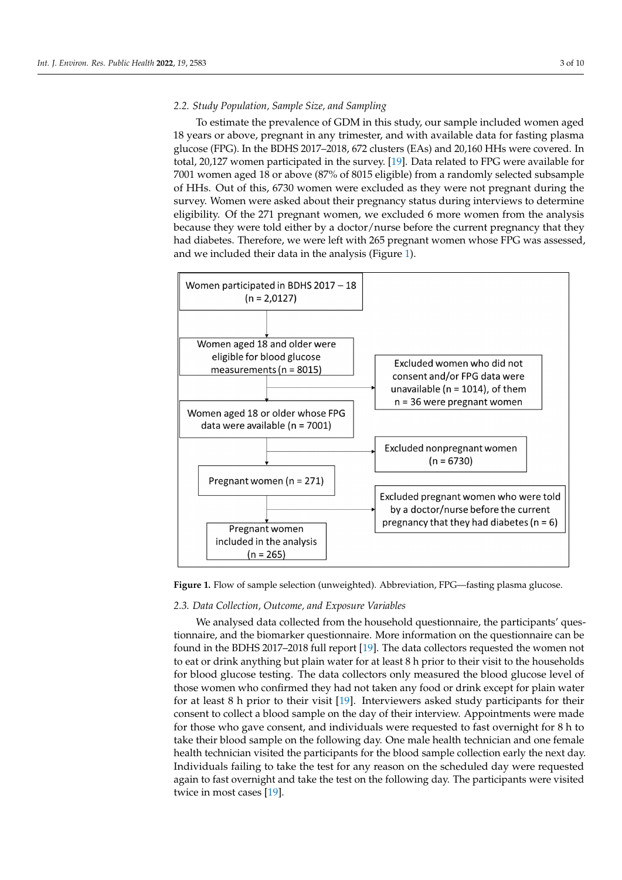### *2.2. Study Population, Sample Size, and Sampling*

To estimate the prevalence of GDM in this study, our sample included women aged To estimate the prevalence of GDM in this study, our sample included women aged 18 years or above, pregnant in any trimester, and with available data for fasting plasma 18 years or above, pregnant in any trimester, and with available data for fasting plasma glucose (FPG). In the BDHS 2017–2018, 672 clusters (EAs) and 20,160 HHs were covered. In glucose (FPG). In the BDHS 2017–2018, 672 clusters (EAs) and 20,160 HHs were covered. total, 20,127 women participated in the surve[y. \[](#page-9-2)19]. Data related to FPG were available for 7001 women aged 18 or above (87% of 8015 eligible) from a randomly selected subsample of HHs. Out of this, 6730 women were excluded as they were not pregnant during the survey. Women were asked about their pregnancy status during interviews to determine eligibility. Of the 271 pregnant women, we excluded 6 more women from the analysis because they were told either by a doctor/nurse before the current pregnancy that they had diabetes. Therefore, we were left with 265 pregnant women whose FPG was assessed, and we included their data in the analysis [\(F](#page-2-0)igure 1).

<span id="page-2-0"></span>

**Figure 1.** Flow of sample selection (unweighted). Abbreviation, FPG—fasting plasma glucose. **Figure 1.** Flow of sample selection (unweighted). Abbreviation, FPG—fasting plasma glucose.

# *2.3. Data Collection, Outcome, and Exposure Variables 2.3. Data Collection, Outcome, and Exposure Variables*

We analysed data collected from the household questionnaire, the participants' ques-We analysed data collected from the household questionnaire, the participants' questionnaire, and the biomarker questionnaire. More information on the questionnaire can be be found in the BDHS 2017–2018 full rep[ort \[](#page-9-2)19]. The data collectors requested the women found in the BDHS 2017–2018 full report [19]. The data collectors requested the women not to eat or drink anything but plain water for at least 8 h prior to their visit to the households for blood glucose testing. The data collectors only measured the blood glucose level of those women who confirmed they had not taken any food or drink except for plain water for at least 8 h prior to their vi[sit \[](#page-9-2)19]. Interviewers asked study participants for their consent to collect a blood sample on the day of their interview. Appointments were made consent to collect a blood sample on the day of their interview. Appointments were made for those who gave consent, and individuals were requested to fast overnight for 8 h to take their blood sample on the following day. One male health technician and one female take their blood sample on the following day. One male health technician and one female health technician visited the participants for the blood sample collection early the next health technician visited the participants for the blood sample collection early the next day. Individuals failing to take the test for any reason on the scheduled day were requested again to fast overnight and take the test on the following day. The participants were visited twice i[n m](#page-9-2)ost cases [19].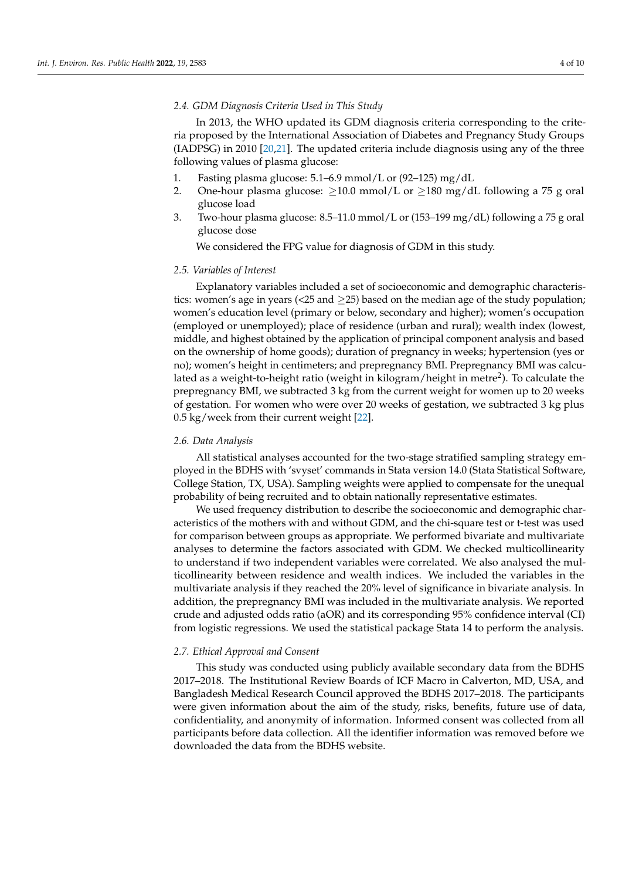### *2.4. GDM Diagnosis Criteria Used in This Study*

In 2013, the WHO updated its GDM diagnosis criteria corresponding to the criteria proposed by the International Association of Diabetes and Pregnancy Study Groups (IADPSG) in 2010 [\[20,](#page-9-3)[21\]](#page-9-4). The updated criteria include diagnosis using any of the three following values of plasma glucose:

- 1. Fasting plasma glucose: 5.1–6.9 mmol/L or (92–125) mg/dL
- 2. One-hour plasma glucose:  $\geq$ 10.0 mmol/L or  $\geq$ 180 mg/dL following a 75 g oral glucose load
- 3. Two-hour plasma glucose: 8.5–11.0 mmol/L or (153–199 mg/dL) following a 75 g oral glucose dose

We considered the FPG value for diagnosis of GDM in this study.

# *2.5. Variables of Interest*

Explanatory variables included a set of socioeconomic and demographic characteristics: women's age in years (<25 and  $\geq$ 25) based on the median age of the study population; women's education level (primary or below, secondary and higher); women's occupation (employed or unemployed); place of residence (urban and rural); wealth index (lowest, middle, and highest obtained by the application of principal component analysis and based on the ownership of home goods); duration of pregnancy in weeks; hypertension (yes or no); women's height in centimeters; and prepregnancy BMI. Prepregnancy BMI was calculated as a weight-to-height ratio (weight in kilogram/height in metre<sup>2</sup>). To calculate the prepregnancy BMI, we subtracted 3 kg from the current weight for women up to 20 weeks of gestation. For women who were over 20 weeks of gestation, we subtracted 3 kg plus 0.5 kg/week from their current weight [\[22\]](#page-9-5).

#### *2.6. Data Analysis*

All statistical analyses accounted for the two-stage stratified sampling strategy employed in the BDHS with 'svyset' commands in Stata version 14.0 (Stata Statistical Software, College Station, TX, USA). Sampling weights were applied to compensate for the unequal probability of being recruited and to obtain nationally representative estimates.

We used frequency distribution to describe the socioeconomic and demographic characteristics of the mothers with and without GDM, and the chi-square test or t-test was used for comparison between groups as appropriate. We performed bivariate and multivariate analyses to determine the factors associated with GDM. We checked multicollinearity to understand if two independent variables were correlated. We also analysed the multicollinearity between residence and wealth indices. We included the variables in the multivariate analysis if they reached the 20% level of significance in bivariate analysis. In addition, the prepregnancy BMI was included in the multivariate analysis. We reported crude and adjusted odds ratio (aOR) and its corresponding 95% confidence interval (CI) from logistic regressions. We used the statistical package Stata 14 to perform the analysis.

#### *2.7. Ethical Approval and Consent*

This study was conducted using publicly available secondary data from the BDHS 2017–2018. The Institutional Review Boards of ICF Macro in Calverton, MD, USA, and Bangladesh Medical Research Council approved the BDHS 2017–2018. The participants were given information about the aim of the study, risks, benefits, future use of data, confidentiality, and anonymity of information. Informed consent was collected from all participants before data collection. All the identifier information was removed before we downloaded the data from the BDHS website.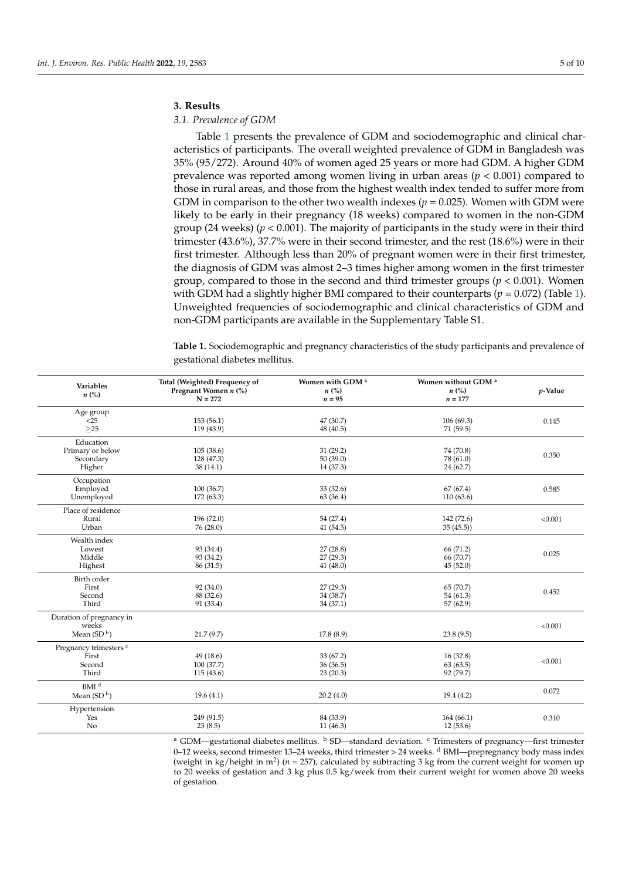### **3. Results**

## *3.1. Prevalence of GDM*

Table [1](#page-4-0) presents the prevalence of GDM and sociodemographic and clinical characteristics of participants. The overall weighted prevalence of GDM in Bangladesh was 35% (95/272). Around 40% of women aged 25 years or more had GDM. A higher GDM prevalence was reported among women living in urban areas (*p* < 0.001) compared to those in rural areas, and those from the highest wealth index tended to suffer more from GDM in comparison to the other two wealth indexes ( $p = 0.025$ ). Women with GDM were likely to be early in their pregnancy (18 weeks) compared to women in the non-GDM group (24 weeks) (*p* < 0.001). The majority of participants in the study were in their third trimester (43.6%), 37.7% were in their second trimester, and the rest (18.6%) were in their first trimester. Although less than 20% of pregnant women were in their first trimester, the diagnosis of GDM was almost 2–3 times higher among women in the first trimester group, compared to those in the second and third trimester groups (*p* < 0.001). Women with GDM had a slightly higher BMI compared to their counterparts ( $p = 0.072$ ) (Table [1\)](#page-4-0). Unweighted frequencies of sociodemographic and clinical characteristics of GDM and non-GDM participants are available in the Supplementary Table S1.

<span id="page-4-0"></span>**Table 1.** Sociodemographic and pregnancy characteristics of the study participants and prevalence of gestational diabetes mellitus.

| <b>Variables</b><br>$n\left(\%\right)$                        | Total (Weighted) Frequency of<br>Pregnant Women n (%)<br>$N = 272$ | Women with GDM <sup>a</sup><br>$n\left(\%\right)$<br>$n = 95$ | Women without GDM <sup>a</sup><br>$n\left(\%\right)$<br>$n = 177$ | $p$ -Value |
|---------------------------------------------------------------|--------------------------------------------------------------------|---------------------------------------------------------------|-------------------------------------------------------------------|------------|
| Age group<br>$<$ 25<br>$>25$                                  | 153(56.1)<br>119 (43.9)                                            | 47 (30.7)<br>48 (40.5)                                        | 106(69.3)<br>71(59.5)                                             | 0.145      |
| Education<br>Primary or below<br>Secondary<br>Higher          | 105(38.6)<br>128 (47.3)<br>38(14.1)                                | 31(29.2)<br>50(39.0)<br>14 (37.3)                             | 74 (70.8)<br>78 (61.0)<br>24 (62.7)                               | 0.350      |
| Occupation<br>Employed<br>Unemployed                          | 100(36.7)<br>172(63.3)                                             | 33(32.6)<br>63 (36.4)                                         | 67(67.4)<br>110 (63.6)                                            | 0.585      |
| Place of residence<br>Rural<br>Urban                          | 196(72.0)<br>76(28.0)                                              | 54 (27.4)<br>41 (54.5)                                        | 142 (72.6)<br>35(45.5)                                            | < 0.001    |
| Wealth index<br>Lowest<br>Middle<br>Highest                   | 93 (34.4)<br>93 (34.2)<br>86 (31.5)                                | 27(28.8)<br>27(29.3)<br>41(48.0)                              | 66 (71.2)<br>66 (70.7)<br>45(52.0)                                | 0.025      |
| Birth order<br>First<br>Second<br>Third                       | 92 (34.0)<br>88 (32.6)<br>91 (33.4)                                | 27(29.3)<br>34 (38.7)<br>34 (37.1)                            | 65 (70.7)<br>54(61.3)<br>57 (62.9)                                | 0.452      |
| Duration of pregnancy in<br>weeks<br>Mean $(SD^b)$            | 21.7(9.7)                                                          | 17.8(8.9)                                                     | 23.8(9.5)                                                         | < 0.001    |
| Pregnancy trimesters <sup>c</sup><br>First<br>Second<br>Third | 49(18.6)<br>100(37.7)<br>115(43.6)                                 | 33 (67.2)<br>36(36.5)<br>23(20.3)                             | 16(32.8)<br>63(63.5)<br>92 (79.7)                                 | < 0.001    |
| BMI <sup>d</sup><br>Mean $(SD^b)$                             | 19.6(4.1)                                                          | 20.2(4.0)                                                     | 19.4(4.2)                                                         | 0.072      |
| Hypertension<br>Yes<br>No                                     | 249 (91.5)<br>23(8.5)                                              | 84 (33.9)<br>11(46.3)                                         | 164(66.1)<br>12(53.6)                                             | 0.310      |

<sup>a</sup> GDM—gestational diabetes mellitus. <sup>b</sup> SD—standard deviation. <sup>c</sup> Trimesters of pregnancy—first trimester 0–12 weeks, second trimester 13–24 weeks, third trimester > 24 weeks. <sup>d</sup> BMI—prepregnancy body mass index (weight in kg/height in m<sup>2</sup>) ( $n = 257$ ), calculated by subtracting 3 kg from the current weight for women up to 20 weeks of gestation and 3 kg plus 0.5 kg/week from their current weight for women above 20 weeks of gestation.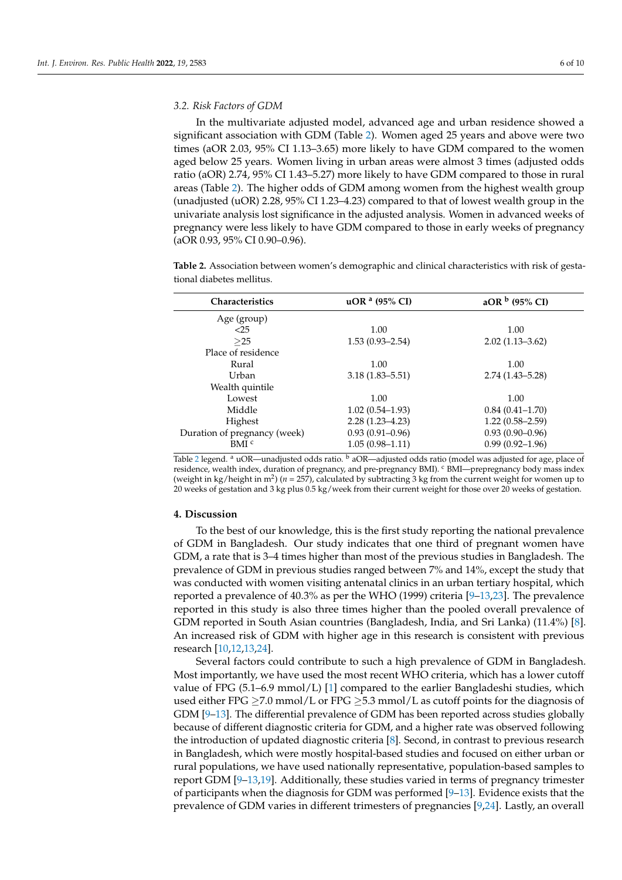### *3.2. Risk Factors of GDM*

In the multivariate adjusted model, advanced age and urban residence showed a significant association with GDM (Table [2\)](#page-5-0). Women aged 25 years and above were two times (aOR 2.03, 95% CI 1.13–3.65) more likely to have GDM compared to the women aged below 25 years. Women living in urban areas were almost 3 times (adjusted odds ratio (aOR) 2.74, 95% CI 1.43–5.27) more likely to have GDM compared to those in rural areas (Table [2\)](#page-5-0). The higher odds of GDM among women from the highest wealth group (unadjusted (uOR) 2.28, 95% CI 1.23–4.23) compared to that of lowest wealth group in the univariate analysis lost significance in the adjusted analysis. Women in advanced weeks of pregnancy were less likely to have GDM compared to those in early weeks of pregnancy (aOR 0.93, 95% CI 0.90–0.96).

<span id="page-5-0"></span>**Table 2.** Association between women's demographic and clinical characteristics with risk of gestational diabetes mellitus.

| <b>Characteristics</b>       | $uORa$ (95% CI)     | aOR $b$ (95% CI)    |
|------------------------------|---------------------|---------------------|
| Age (group)                  |                     |                     |
| < 25                         | 1.00                | 1.00                |
| >25                          | $1.53(0.93 - 2.54)$ | $2.02(1.13 - 3.62)$ |
| Place of residence           |                     |                     |
| Rural                        | 1.00                | 1.00                |
| Urban                        | $3.18(1.83 - 5.51)$ | $2.74(1.43 - 5.28)$ |
| Wealth quintile              |                     |                     |
| Lowest                       | 1.00                | 1.00                |
| Middle                       | $1.02(0.54 - 1.93)$ | $0.84(0.41 - 1.70)$ |
| Highest                      | $2.28(1.23 - 4.23)$ | $1.22(0.58-2.59)$   |
| Duration of pregnancy (week) | $0.93(0.91 - 0.96)$ | $0.93(0.90 - 0.96)$ |
| BMI <sub>c</sub>             | $1.05(0.98 - 1.11)$ | $0.99(0.92 - 1.96)$ |

Table [2](#page-5-0) legend. <sup>a</sup> uOR—unadjusted odds ratio. <sup>b</sup> aOR—adjusted odds ratio (model was adjusted for age, place of residence, wealth index, duration of pregnancy, and pre-pregnancy BMI). <sup>c</sup> BMI—prepregnancy body mass index (weight in  $\text{kg/h}$ eight in m<sup>2</sup>) (*n* = 257), calculated by subtracting 3 kg from the current weight for women up to 20 weeks of gestation and 3 kg plus 0.5 kg/week from their current weight for those over 20 weeks of gestation.

#### **4. Discussion**

To the best of our knowledge, this is the first study reporting the national prevalence of GDM in Bangladesh. Our study indicates that one third of pregnant women have GDM, a rate that is 3–4 times higher than most of the previous studies in Bangladesh. The prevalence of GDM in previous studies ranged between 7% and 14%, except the study that was conducted with women visiting antenatal clinics in an urban tertiary hospital, which reported a prevalence of 40.3% as per the WHO (1999) criteria [\[9](#page-8-8)[–13](#page-8-9)[,23\]](#page-9-6). The prevalence reported in this study is also three times higher than the pooled overall prevalence of GDM reported in South Asian countries (Bangladesh, India, and Sri Lanka) (11.4%) [\[8\]](#page-8-7). An increased risk of GDM with higher age in this research is consistent with previous research [\[10,](#page-8-10)[12,](#page-8-12)[13,](#page-8-9)[24\]](#page-9-7).

Several factors could contribute to such a high prevalence of GDM in Bangladesh. Most importantly, we have used the most recent WHO criteria, which has a lower cutoff value of FPG  $(5.1–6.9 \text{ mmol/L})$  [\[1\]](#page-8-0) compared to the earlier Bangladeshi studies, which used either FPG  $\geq$ 7.0 mmol/L or FPG  $\geq$ 5.3 mmol/L as cutoff points for the diagnosis of GDM [\[9](#page-8-8)[–13\]](#page-8-9). The differential prevalence of GDM has been reported across studies globally because of different diagnostic criteria for GDM, and a higher rate was observed following the introduction of updated diagnostic criteria [\[8\]](#page-8-7). Second, in contrast to previous research in Bangladesh, which were mostly hospital-based studies and focused on either urban or rural populations, we have used nationally representative, population-based samples to report GDM [\[9–](#page-8-8)[13](#page-8-9)[,19\]](#page-9-2). Additionally, these studies varied in terms of pregnancy trimester of participants when the diagnosis for GDM was performed  $[9-13]$  $[9-13]$ . Evidence exists that the prevalence of GDM varies in different trimesters of pregnancies [\[9](#page-8-8)[,24\]](#page-9-7). Lastly, an overall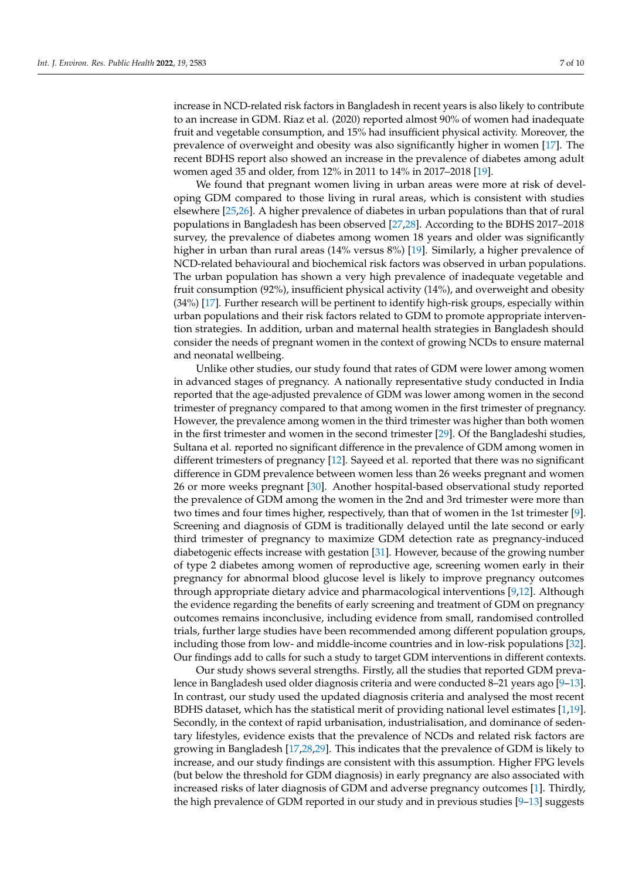increase in NCD-related risk factors in Bangladesh in recent years is also likely to contribute to an increase in GDM. Riaz et al. (2020) reported almost 90% of women had inadequate fruit and vegetable consumption, and 15% had insufficient physical activity. Moreover, the prevalence of overweight and obesity was also significantly higher in women [\[17\]](#page-9-0). The recent BDHS report also showed an increase in the prevalence of diabetes among adult women aged 35 and older, from 12% in 2011 to 14% in 2017–2018 [\[19\]](#page-9-2).

We found that pregnant women living in urban areas were more at risk of developing GDM compared to those living in rural areas, which is consistent with studies elsewhere [\[25,](#page-9-8)[26\]](#page-9-9). A higher prevalence of diabetes in urban populations than that of rural populations in Bangladesh has been observed [\[27](#page-9-10)[,28\]](#page-9-11). According to the BDHS 2017–2018 survey, the prevalence of diabetes among women 18 years and older was significantly higher in urban than rural areas (14% versus 8%) [\[19\]](#page-9-2). Similarly, a higher prevalence of NCD-related behavioural and biochemical risk factors was observed in urban populations. The urban population has shown a very high prevalence of inadequate vegetable and fruit consumption (92%), insufficient physical activity (14%), and overweight and obesity (34%) [\[17\]](#page-9-0). Further research will be pertinent to identify high-risk groups, especially within urban populations and their risk factors related to GDM to promote appropriate intervention strategies. In addition, urban and maternal health strategies in Bangladesh should consider the needs of pregnant women in the context of growing NCDs to ensure maternal and neonatal wellbeing.

Unlike other studies, our study found that rates of GDM were lower among women in advanced stages of pregnancy. A nationally representative study conducted in India reported that the age-adjusted prevalence of GDM was lower among women in the second trimester of pregnancy compared to that among women in the first trimester of pregnancy. However, the prevalence among women in the third trimester was higher than both women in the first trimester and women in the second trimester [\[29\]](#page-9-12). Of the Bangladeshi studies, Sultana et al. reported no significant difference in the prevalence of GDM among women in different trimesters of pregnancy [\[12\]](#page-8-12). Sayeed et al. reported that there was no significant difference in GDM prevalence between women less than 26 weeks pregnant and women 26 or more weeks pregnant [\[30\]](#page-9-13). Another hospital-based observational study reported the prevalence of GDM among the women in the 2nd and 3rd trimester were more than two times and four times higher, respectively, than that of women in the 1st trimester [\[9\]](#page-8-8). Screening and diagnosis of GDM is traditionally delayed until the late second or early third trimester of pregnancy to maximize GDM detection rate as pregnancy-induced diabetogenic effects increase with gestation [\[31\]](#page-9-14). However, because of the growing number of type 2 diabetes among women of reproductive age, screening women early in their pregnancy for abnormal blood glucose level is likely to improve pregnancy outcomes through appropriate dietary advice and pharmacological interventions [\[9](#page-8-8)[,12\]](#page-8-12). Although the evidence regarding the benefits of early screening and treatment of GDM on pregnancy outcomes remains inconclusive, including evidence from small, randomised controlled trials, further large studies have been recommended among different population groups, including those from low- and middle-income countries and in low-risk populations [\[32\]](#page-9-15). Our findings add to calls for such a study to target GDM interventions in different contexts.

Our study shows several strengths. Firstly, all the studies that reported GDM prevalence in Bangladesh used older diagnosis criteria and were conducted 8–21 years ago [\[9](#page-8-8)[–13\]](#page-8-9). In contrast, our study used the updated diagnosis criteria and analysed the most recent BDHS dataset, which has the statistical merit of providing national level estimates [\[1,](#page-8-0)[19\]](#page-9-2). Secondly, in the context of rapid urbanisation, industrialisation, and dominance of sedentary lifestyles, evidence exists that the prevalence of NCDs and related risk factors are growing in Bangladesh [\[17,](#page-9-0)[28,](#page-9-11)[29\]](#page-9-12). This indicates that the prevalence of GDM is likely to increase, and our study findings are consistent with this assumption. Higher FPG levels (but below the threshold for GDM diagnosis) in early pregnancy are also associated with increased risks of later diagnosis of GDM and adverse pregnancy outcomes [\[1\]](#page-8-0). Thirdly, the high prevalence of GDM reported in our study and in previous studies [\[9](#page-8-8)[–13\]](#page-8-9) suggests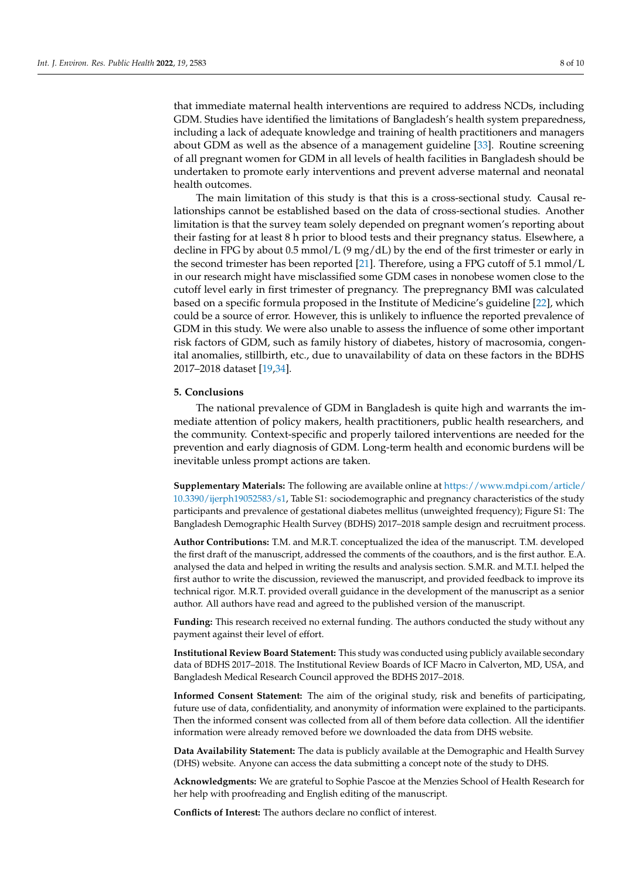that immediate maternal health interventions are required to address NCDs, including GDM. Studies have identified the limitations of Bangladesh's health system preparedness, including a lack of adequate knowledge and training of health practitioners and managers about GDM as well as the absence of a management guideline [\[33\]](#page-9-16). Routine screening of all pregnant women for GDM in all levels of health facilities in Bangladesh should be undertaken to promote early interventions and prevent adverse maternal and neonatal health outcomes.

The main limitation of this study is that this is a cross-sectional study. Causal relationships cannot be established based on the data of cross-sectional studies. Another limitation is that the survey team solely depended on pregnant women's reporting about their fasting for at least 8 h prior to blood tests and their pregnancy status. Elsewhere, a decline in FPG by about 0.5 mmol/L (9 mg/dL) by the end of the first trimester or early in the second trimester has been reported [\[21\]](#page-9-4). Therefore, using a FPG cutoff of 5.1 mmol/L in our research might have misclassified some GDM cases in nonobese women close to the cutoff level early in first trimester of pregnancy. The prepregnancy BMI was calculated based on a specific formula proposed in the Institute of Medicine's guideline [\[22\]](#page-9-5), which could be a source of error. However, this is unlikely to influence the reported prevalence of GDM in this study. We were also unable to assess the influence of some other important risk factors of GDM, such as family history of diabetes, history of macrosomia, congenital anomalies, stillbirth, etc., due to unavailability of data on these factors in the BDHS 2017–2018 dataset [\[19,](#page-9-2)[34\]](#page-9-17).

# **5. Conclusions**

The national prevalence of GDM in Bangladesh is quite high and warrants the immediate attention of policy makers, health practitioners, public health researchers, and the community. Context-specific and properly tailored interventions are needed for the prevention and early diagnosis of GDM. Long-term health and economic burdens will be inevitable unless prompt actions are taken.

**Supplementary Materials:** The following are available online at [https://www.mdpi.com/article/](https://www.mdpi.com/article/10.3390/ijerph19052583/s1) [10.3390/ijerph19052583/s1,](https://www.mdpi.com/article/10.3390/ijerph19052583/s1) Table S1: sociodemographic and pregnancy characteristics of the study participants and prevalence of gestational diabetes mellitus (unweighted frequency); Figure S1: The Bangladesh Demographic Health Survey (BDHS) 2017–2018 sample design and recruitment process.

**Author Contributions:** T.M. and M.R.T. conceptualized the idea of the manuscript. T.M. developed the first draft of the manuscript, addressed the comments of the coauthors, and is the first author. E.A. analysed the data and helped in writing the results and analysis section. S.M.R. and M.T.I. helped the first author to write the discussion, reviewed the manuscript, and provided feedback to improve its technical rigor. M.R.T. provided overall guidance in the development of the manuscript as a senior author. All authors have read and agreed to the published version of the manuscript.

**Funding:** This research received no external funding. The authors conducted the study without any payment against their level of effort.

**Institutional Review Board Statement:** This study was conducted using publicly available secondary data of BDHS 2017–2018. The Institutional Review Boards of ICF Macro in Calverton, MD, USA, and Bangladesh Medical Research Council approved the BDHS 2017–2018.

**Informed Consent Statement:** The aim of the original study, risk and benefits of participating, future use of data, confidentiality, and anonymity of information were explained to the participants. Then the informed consent was collected from all of them before data collection. All the identifier information were already removed before we downloaded the data from DHS website.

**Data Availability Statement:** The data is publicly available at the Demographic and Health Survey (DHS) website. Anyone can access the data submitting a concept note of the study to DHS.

**Acknowledgments:** We are grateful to Sophie Pascoe at the Menzies School of Health Research for her help with proofreading and English editing of the manuscript.

**Conflicts of Interest:** The authors declare no conflict of interest.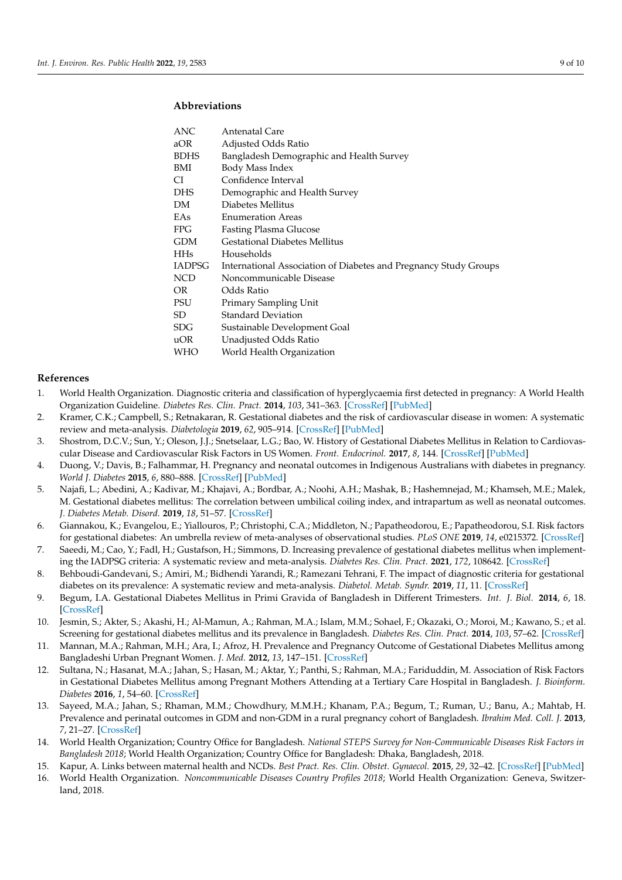# **Abbreviations**

| ANC           | Antenatal Care                                                   |
|---------------|------------------------------------------------------------------|
| aOR           | Adjusted Odds Ratio                                              |
| <b>BDHS</b>   | Bangladesh Demographic and Health Survey                         |
| BMI           | Body Mass Index                                                  |
| CI            | Confidence Interval                                              |
| DHS           | Demographic and Health Survey                                    |
| DΜ            | Diabetes Mellitus                                                |
| EAs           | <b>Enumeration Areas</b>                                         |
| FPG.          | <b>Fasting Plasma Glucose</b>                                    |
| <b>GDM</b>    | <b>Gestational Diabetes Mellitus</b>                             |
| <b>HHs</b>    | Households                                                       |
| <b>IADPSG</b> | International Association of Diabetes and Pregnancy Study Groups |
| <b>NCD</b>    | Noncommunicable Disease                                          |
| OR.           | Odds Ratio                                                       |
| PSU           | Primary Sampling Unit                                            |
| SD            | <b>Standard Deviation</b>                                        |
| <b>SDG</b>    | Sustainable Development Goal                                     |
| uOR           | Unadjusted Odds Ratio                                            |
| WHO           | World Health Organization                                        |
|               |                                                                  |

#### **References**

- <span id="page-8-0"></span>1. World Health Organization. Diagnostic criteria and classification of hyperglycaemia first detected in pregnancy: A World Health Organization Guideline. *Diabetes Res. Clin. Pract.* **2014**, *103*, 341–363. [\[CrossRef\]](http://doi.org/10.1016/j.diabres.2013.10.012) [\[PubMed\]](http://www.ncbi.nlm.nih.gov/pubmed/24847517)
- <span id="page-8-1"></span>2. Kramer, C.K.; Campbell, S.; Retnakaran, R. Gestational diabetes and the risk of cardiovascular disease in women: A systematic review and meta-analysis. *Diabetologia* **2019**, *62*, 905–914. [\[CrossRef\]](http://doi.org/10.1007/s00125-019-4840-2) [\[PubMed\]](http://www.ncbi.nlm.nih.gov/pubmed/30843102)
- <span id="page-8-2"></span>3. Shostrom, D.C.V.; Sun, Y.; Oleson, J.J.; Snetselaar, L.G.; Bao, W. History of Gestational Diabetes Mellitus in Relation to Cardiovascular Disease and Cardiovascular Risk Factors in US Women. *Front. Endocrinol.* **2017**, *8*, 144. [\[CrossRef\]](http://doi.org/10.3389/fendo.2017.00144) [\[PubMed\]](http://www.ncbi.nlm.nih.gov/pubmed/28694789)
- <span id="page-8-3"></span>4. Duong, V.; Davis, B.; Falhammar, H. Pregnancy and neonatal outcomes in Indigenous Australians with diabetes in pregnancy. *World J. Diabetes* **2015**, *6*, 880–888. [\[CrossRef\]](http://doi.org/10.4239/wjd.v6.i6.880) [\[PubMed\]](http://www.ncbi.nlm.nih.gov/pubmed/26131329)
- <span id="page-8-4"></span>5. Najafi, L.; Abedini, A.; Kadivar, M.; Khajavi, A.; Bordbar, A.; Noohi, A.H.; Mashak, B.; Hashemnejad, M.; Khamseh, M.E.; Malek, M. Gestational diabetes mellitus: The correlation between umbilical coiling index, and intrapartum as well as neonatal outcomes. *J. Diabetes Metab. Disord.* **2019**, *18*, 51–57. [\[CrossRef\]](http://doi.org/10.1007/s40200-019-00389-z)
- <span id="page-8-5"></span>6. Giannakou, K.; Evangelou, E.; Yiallouros, P.; Christophi, C.A.; Middleton, N.; Papatheodorou, E.; Papatheodorou, S.I. Risk factors for gestational diabetes: An umbrella review of meta-analyses of observational studies. *PLoS ONE* **2019**, *14*, e0215372. [\[CrossRef\]](http://doi.org/10.1371/journal.pone.0215372)
- <span id="page-8-6"></span>7. Saeedi, M.; Cao, Y.; Fadl, H.; Gustafson, H.; Simmons, D. Increasing prevalence of gestational diabetes mellitus when implementing the IADPSG criteria: A systematic review and meta-analysis. *Diabetes Res. Clin. Pract.* **2021**, *172*, 108642. [\[CrossRef\]](http://doi.org/10.1016/j.diabres.2020.108642)
- <span id="page-8-7"></span>8. Behboudi-Gandevani, S.; Amiri, M.; Bidhendi Yarandi, R.; Ramezani Tehrani, F. The impact of diagnostic criteria for gestational diabetes on its prevalence: A systematic review and meta-analysis. *Diabetol. Metab. Syndr.* **2019**, *11*, 11. [\[CrossRef\]](http://doi.org/10.1186/s13098-019-0406-1)
- <span id="page-8-8"></span>9. Begum, I.A. Gestational Diabetes Mellitus in Primi Gravida of Bangladesh in Different Trimesters. *Int. J. Biol.* **2014**, *6*, 18. [\[CrossRef\]](http://doi.org/10.5539/ijb.v6n3p18)
- <span id="page-8-10"></span>10. Jesmin, S.; Akter, S.; Akashi, H.; Al-Mamun, A.; Rahman, M.A.; Islam, M.M.; Sohael, F.; Okazaki, O.; Moroi, M.; Kawano, S.; et al. Screening for gestational diabetes mellitus and its prevalence in Bangladesh. *Diabetes Res. Clin. Pract.* **2014**, *103*, 57–62. [\[CrossRef\]](http://doi.org/10.1016/j.diabres.2013.11.024)
- <span id="page-8-11"></span>11. Mannan, M.A.; Rahman, M.H.; Ara, I.; Afroz, H. Prevalence and Pregnancy Outcome of Gestational Diabetes Mellitus among Bangladeshi Urban Pregnant Women. *J. Med.* **2012**, *13*, 147–151. [\[CrossRef\]](http://doi.org/10.3329/jom.v13i2.12749)
- <span id="page-8-12"></span>12. Sultana, N.; Hasanat, M.A.; Jahan, S.; Hasan, M.; Aktar, Y.; Panthi, S.; Rahman, M.A.; Fariduddin, M. Association of Risk Factors in Gestational Diabetes Mellitus among Pregnant Mothers Attending at a Tertiary Care Hospital in Bangladesh. *J. Bioinform. Diabetes* **2016**, *1*, 54–60. [\[CrossRef\]](http://doi.org/10.14302/issn.2374-9431.jbd-16-939)
- <span id="page-8-9"></span>13. Sayeed, M.A.; Jahan, S.; Rhaman, M.M.; Chowdhury, M.M.H.; Khanam, P.A.; Begum, T.; Ruman, U.; Banu, A.; Mahtab, H. Prevalence and perinatal outcomes in GDM and non-GDM in a rural pregnancy cohort of Bangladesh. *Ibrahim Med. Coll. J.* **2013**, *7*, 21–27. [\[CrossRef\]](http://doi.org/10.3329/imcj.v7i2.20101)
- <span id="page-8-13"></span>14. World Health Organization; Country Office for Bangladesh. *National STEPS Survey for Non-Communicable Diseases Risk Factors in Bangladesh 2018*; World Health Organization; Country Office for Bangladesh: Dhaka, Bangladesh, 2018.
- <span id="page-8-14"></span>15. Kapur, A. Links between maternal health and NCDs. *Best Pract. Res. Clin. Obstet. Gynaecol.* **2015**, *29*, 32–42. [\[CrossRef\]](http://doi.org/10.1016/j.bpobgyn.2014.04.016) [\[PubMed\]](http://www.ncbi.nlm.nih.gov/pubmed/25199858)
- <span id="page-8-15"></span>16. World Health Organization. *Noncommunicable Diseases Country Profiles 2018*; World Health Organization: Geneva, Switzerland, 2018.